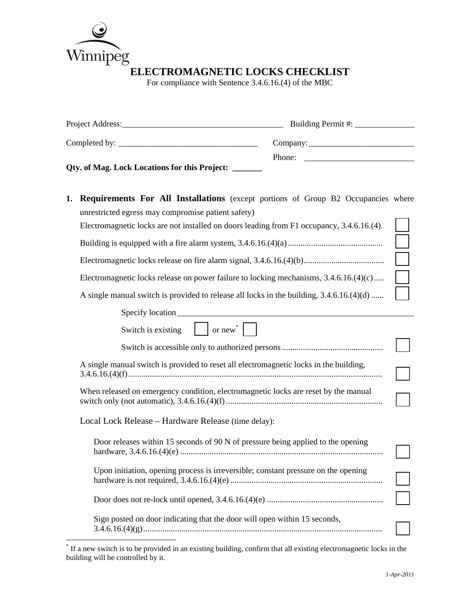

For compliance with Sentence 3.4.6.16.(4) of the MBC

|    | Qty. of Mag. Lock Locations for this Project: ______                                                                                                                                                                                                                                                                                                                                                                              |  |  |
|----|-----------------------------------------------------------------------------------------------------------------------------------------------------------------------------------------------------------------------------------------------------------------------------------------------------------------------------------------------------------------------------------------------------------------------------------|--|--|
| 1. | <b>Requirements For All Installations</b> (except portions of Group B2 Occupancies where<br>unrestricted egress may compromise patient safety)<br>Electromagnetic locks are not installed on doors leading from F1 occupancy, 3.4.6.16.(4).<br>Electromagnetic locks release on power failure to locking mechanisms, $3.4.6.16(4)(c)$<br>A single manual switch is provided to release all locks in the building, 3.4.6.16.(4)(d) |  |  |
|    | Switch is existing $\vert$ $\vert$ or new <sup>*</sup> $\vert$                                                                                                                                                                                                                                                                                                                                                                    |  |  |
|    |                                                                                                                                                                                                                                                                                                                                                                                                                                   |  |  |
|    | A single manual switch is provided to reset all electromagnetic locks in the building,                                                                                                                                                                                                                                                                                                                                            |  |  |
|    | When released on emergency condition, electromagnetic locks are reset by the manual                                                                                                                                                                                                                                                                                                                                               |  |  |
|    | Local Lock Release - Hardware Release (time delay):                                                                                                                                                                                                                                                                                                                                                                               |  |  |
|    | Door releases within 15 seconds of 90 N of pressure being applied to the opening                                                                                                                                                                                                                                                                                                                                                  |  |  |
|    | Upon initiation, opening process is irreversible; constant pressure on the opening                                                                                                                                                                                                                                                                                                                                                |  |  |
|    |                                                                                                                                                                                                                                                                                                                                                                                                                                   |  |  |
|    | Sign posted on door indicating that the door will open within 15 seconds,                                                                                                                                                                                                                                                                                                                                                         |  |  |

<sup>\*</sup> If a new switch is to be provided in an existing building, confirm that all existing electromagnetic locks in the building will be controlled by it.